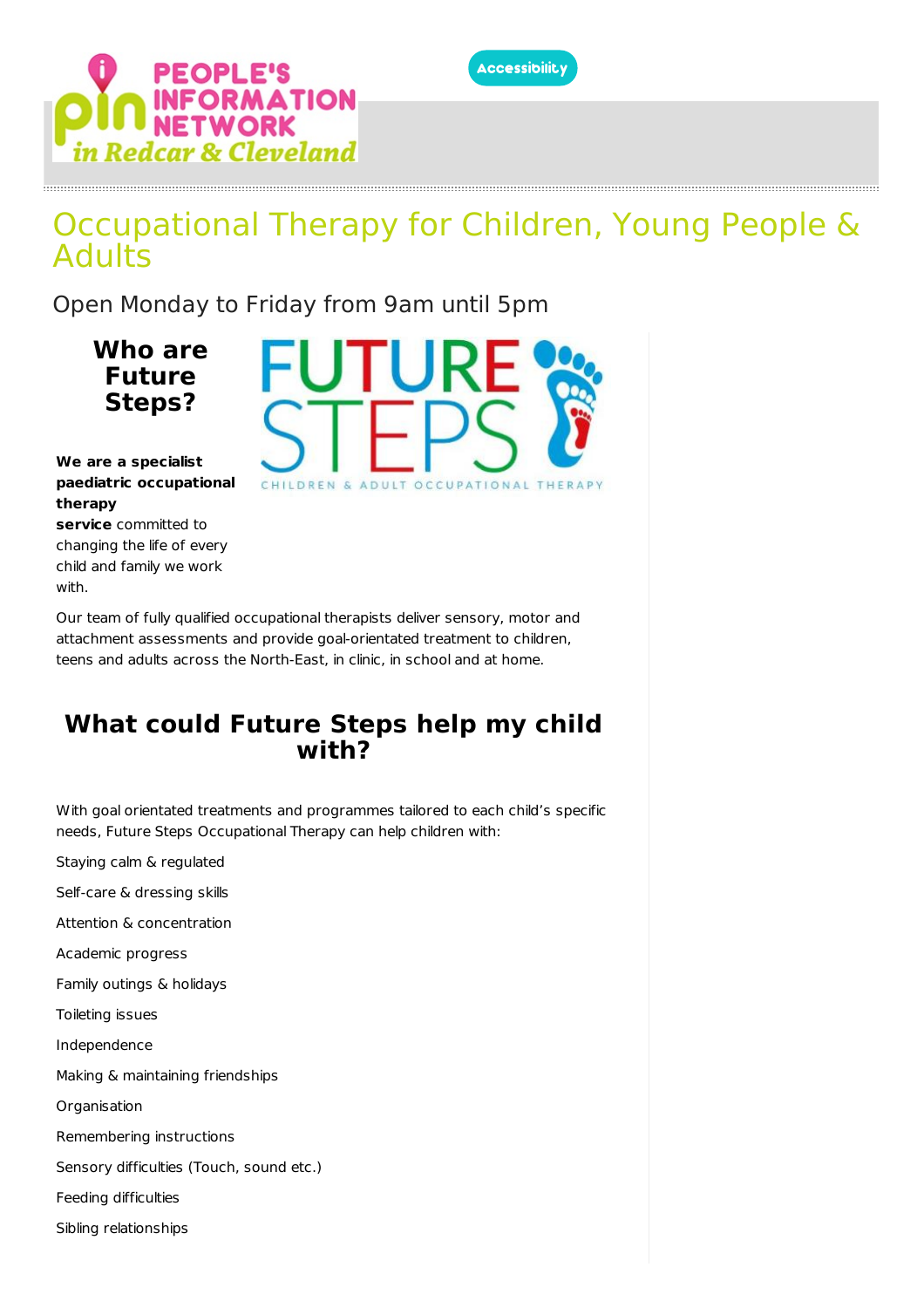

# ORMATION<br>TWORK

# Occupational Therapy for Children, Young People & **Adults**

Open Monday to Friday from 9am until 5pm

**Who are Future Steps?**



**We are a specialist paediatric occupational therapy**

**service** committed to changing the life of every child and family we work with.

Our team of fully qualified occupational therapists deliver sensory, motor and attachment assessments and provide goal-orientated treatment to children, teens and adults across the North-East, in clinic, in school and at home.

## **What could Future Steps help my child with?**

With goal orientated treatments and programmes tailored to each child's specific needs, Future Steps Occupational Therapy can help children with:

Staying calm & regulated

Self-care & dressing skills

Attention & concentration

Academic progress

Family outings & holidays

Toileting issues

Independence

Making & maintaining friendships

**Organisation** 

Remembering instructions

Sensory difficulties (Touch, sound etc.)

Feeding difficulties

Sibling relationships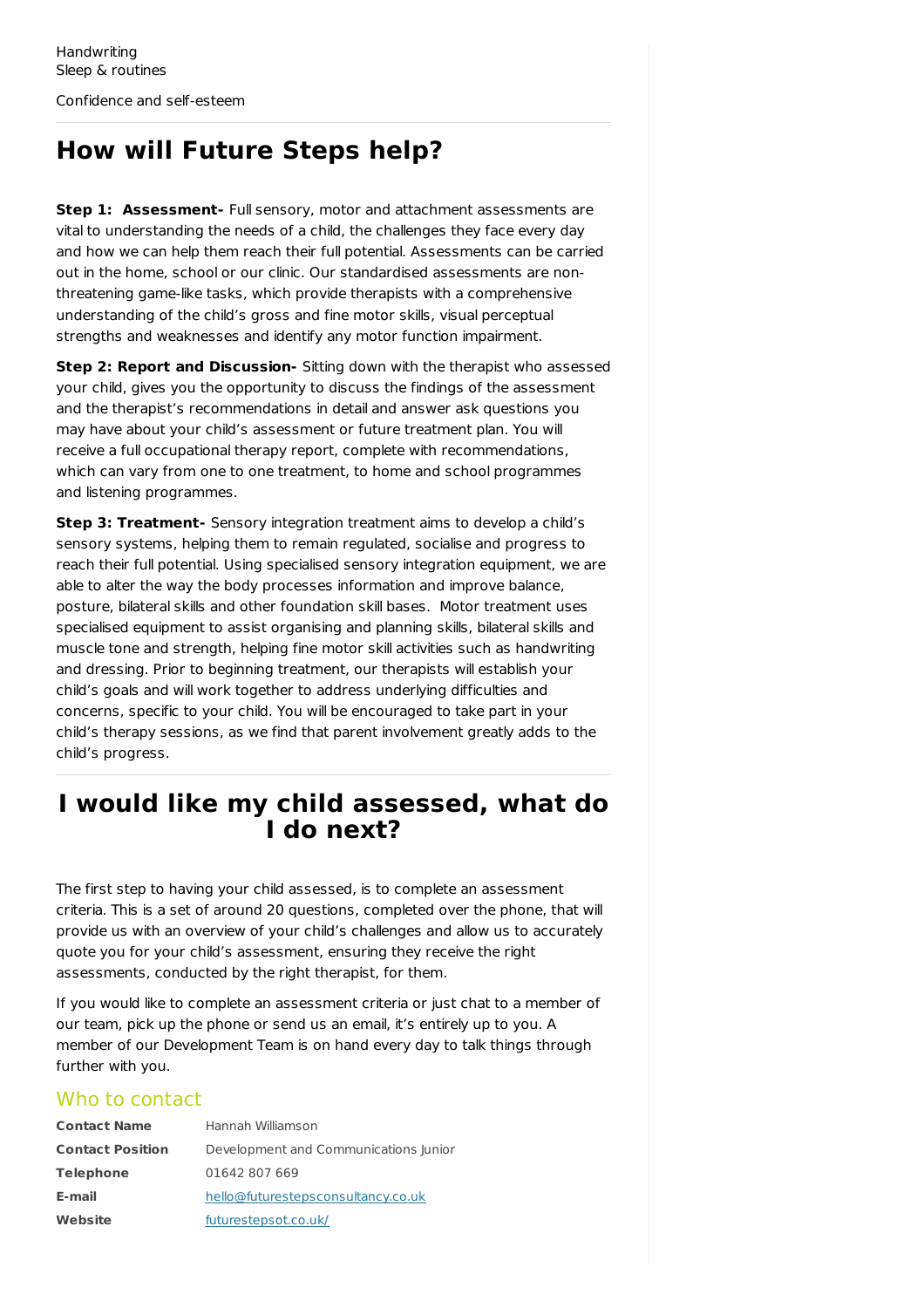# **How will Future Steps help?**

**Step 1: Assessment-** Full sensory, motor and attachment assessments are vital to understanding the needs of a child, the challenges they face every day and how we can help them reach their full potential. Assessments can be carried out in the home, school or our clinic. Our standardised assessments are nonthreatening game-like tasks, which provide therapists with a comprehensive understanding of the child's gross and fine motor skills, visual perceptual strengths and weaknesses and identify any motor function impairment.

**Step 2: Report and Discussion-** Sitting down with the therapist who assessed your child, gives you the opportunity to discuss the findings of the assessment and the therapist's recommendations in detail and answer ask questions you may have about your child's assessment or future treatment plan. You will receive a full occupational therapy report, complete with recommendations, which can vary from one to one treatment, to home and school programmes and listening programmes.

**Step 3: Treatment-** Sensory integration treatment aims to develop a child's sensory systems, helping them to remain regulated, socialise and progress to reach their full potential. Using specialised sensory integration equipment, we are able to alter the way the body processes information and improve balance, posture, bilateral skills and other foundation skill bases. Motor treatment uses specialised equipment to assist organising and planning skills, bilateral skills and muscle tone and strength, helping fine motor skill activities such as handwriting and dressing. Prior to beginning treatment, our therapists will establish your child's goals and will work together to address underlying difficulties and concerns, specific to your child. You will be encouraged to take part in your child's therapy sessions, as we find that parent involvement greatly adds to the child's progress.

## **I would like my child assessed, what do I do next?**

The first step to having your child assessed, is to complete an assessment criteria. This is a set of around 20 questions, completed over the phone, that will provide us with an overview of your child's challenges and allow us to accurately quote you for your child's assessment, ensuring they receive the right assessments, conducted by the right therapist, for them.

If you would like to complete an assessment criteria or just chat to a member of our team, pick up the phone or send us an email, it's entirely up to you. A member of our Development Team is on hand every day to talk things through further with you.

#### Who to contact

| <b>Contact Name</b>     | Hannah Williamson                     |
|-------------------------|---------------------------------------|
| <b>Contact Position</b> | Development and Communications Junior |
| <b>Telephone</b>        | 01642 807 669                         |
| E-mail                  | hello@futurestepsconsultancy.co.uk    |
| Website                 | futurestepsot.co.uk/                  |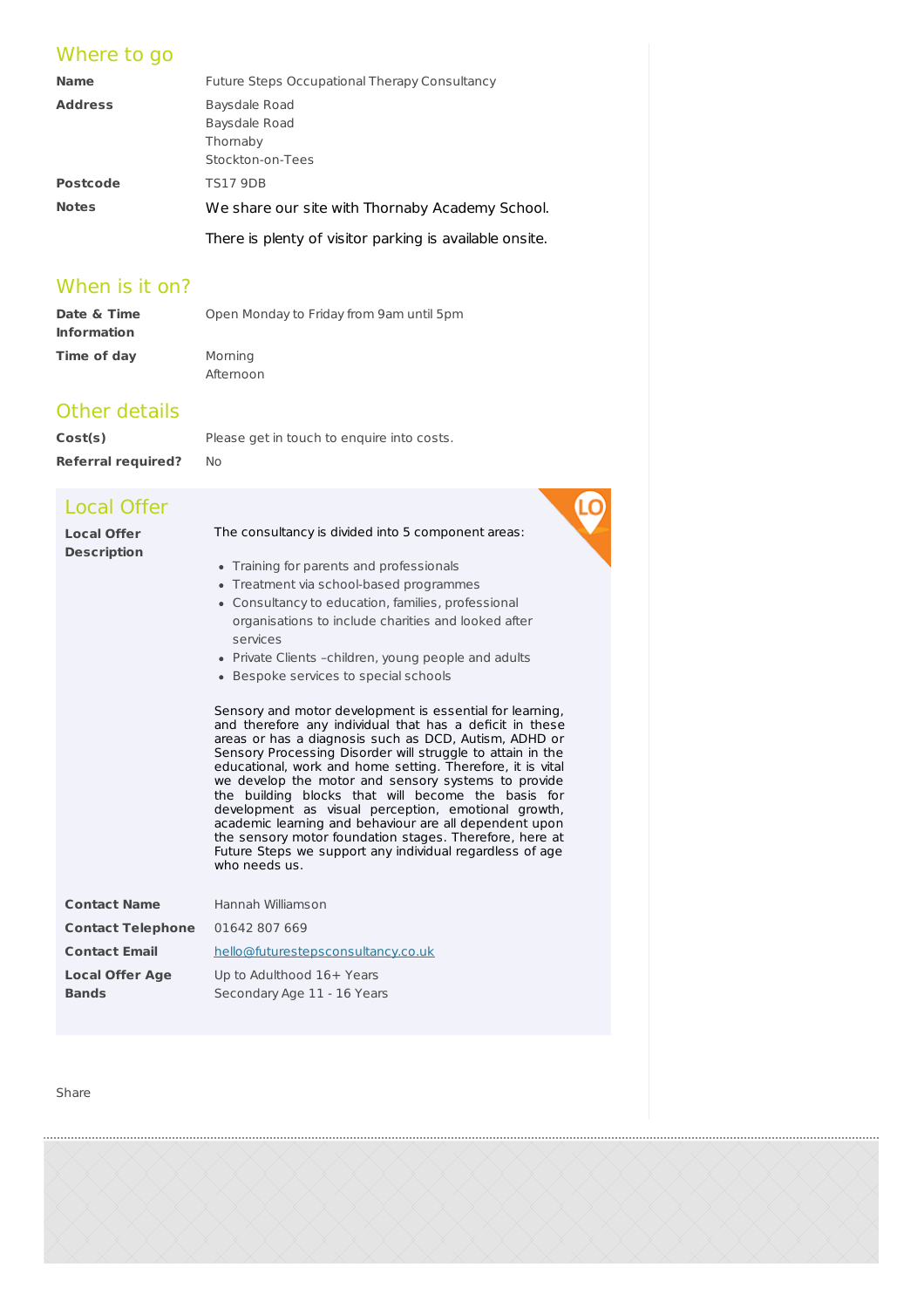#### Where to go

| <b>Name</b>     | Future Steps Occupational Therapy Consultancy           |
|-----------------|---------------------------------------------------------|
| <b>Address</b>  | Baysdale Road                                           |
|                 | Baysdale Road                                           |
|                 | Thornaby                                                |
|                 | Stockton-on-Tees                                        |
| <b>Postcode</b> | <b>TS17 9DB</b>                                         |
| <b>Notes</b>    | We share our site with Thornaby Academy School.         |
|                 | There is plenty of visitor parking is available onsite. |

#### When is it on?

| Date & Time        | Open Monday to Friday from 9am until 5pm |
|--------------------|------------------------------------------|
| <b>Information</b> |                                          |
| Time of day        | Mornina                                  |

Afternoon

#### Other details

**Cost(s)** Please get in touch to enquire into costs. **Referral required?** No

#### Local Offer

| <b>Local Offer</b> |  |
|--------------------|--|
| <b>Description</b> |  |
|                    |  |
|                    |  |

#### The consultancy is divided into 5 component areas:

LC

- Training for parents and professionals
- Treatment via school-based programmes
- Consultancy to education, families, professional organisations to include charities and looked after services
- Private Clients -children, young people and adults
- Bespoke services to special schools

Sensory and motor development is essential for learning, and therefore any individual that has a deficit in these areas or has a diagnosis such as DCD, Autism, ADHD or Sensory Processing Disorder will struggle to attain in the educational, work and home setting. Therefore, it is vital we develop the motor and sensory systems to provide the building blocks that will become the basis for development as visual perception, emotional growth, academic learning and behaviour are all dependent upon the sensory motor foundation stages. Therefore, here at Future Steps we support any individual regardless of age who needs us.

| <b>Contact Name</b>      | Hannah Williamson                  |
|--------------------------|------------------------------------|
| <b>Contact Telephone</b> | 01642 807 669                      |
| <b>Contact Email</b>     | hello@futurestepsconsultancy.co.uk |
| <b>Local Offer Age</b>   | Up to Adulthood 16+ Years          |
| <b>Bands</b>             | Secondary Age 11 - 16 Years        |

Share